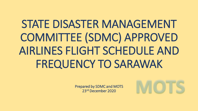# STATE DISASTER MANAGEMENT COMMITTEE (SDMC) APPROVED AIRLINES FLIGHT SCHEDULE AND FREQUENCY TO SARAWAK

Prepared by SDMC and MOTS 23rd December 2020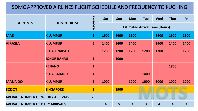### SDMC APPROVED AIRLINES FLIGHT SCHEDULE AND FREQUENCY TO KUCHING

| <b>AIRLINES</b>                          |                      |              | Sat  | Sun<br><b>Mon</b> | <b>Tue</b>                            | <b>Wed</b>              | <b>Thur</b>             | Fri  |      |
|------------------------------------------|----------------------|--------------|------|-------------------|---------------------------------------|-------------------------|-------------------------|------|------|
|                                          | <b>DEPART FROM</b>   | FREQUENCY    |      |                   | <b>Estimated Arrival Time (Hours)</b> |                         |                         |      |      |
| <b>MAS</b>                               | <b>K.LUMPUR</b>      | 6            | 1600 | 1600              | 1600                                  |                         | 1600                    | 1600 | 1600 |
| <b>AIRASIA</b>                           | <b>K.LUMPUR</b>      | 6            | 1400 | 1400              | 1400                                  |                         | 1400                    | 1400 | 1400 |
|                                          | <b>KOTA KINABALU</b> | 6            | 1200 | 1200              | 1200                                  | 1200                    | 1200                    |      | 1200 |
|                                          | <b>JOHOR BAHRU</b>   | $\mathbf{1}$ |      | 1000              |                                       |                         |                         |      |      |
|                                          | <b>PENANG</b>        | $\mathbf{1}$ |      |                   |                                       |                         |                         | 1800 |      |
|                                          | <b>KOTA BAHARU</b>   | $\mathbf{1}$ |      |                   |                                       | 1400                    |                         |      |      |
| <b>MALINDO</b>                           | <b>K.LUMPUR</b>      | 6            | 1000 |                   | 1000                                  | 1000                    | 1000                    | 1000 | 1000 |
| <b>SCOOT</b>                             | <b>SINGAPORE</b>     | $\mathbf{1}$ |      | <b>1900</b>       |                                       |                         |                         |      |      |
| <b>AVERAGE NUMBER OF WEEKLY ARRIVALS</b> |                      | 28           |      |                   |                                       |                         |                         |      |      |
| <b>AVERAGE NUMBER OF DAILY ARRIVALS</b>  |                      |              | 4    | 5                 | $\overline{4}$                        | $\overline{\mathbf{3}}$ | $\overline{\mathbf{4}}$ | 4    | 4    |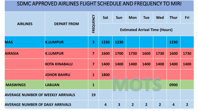### SDMC APPROVED AIRLINES FLIGHT SCHEDULE AND FREQUENCY TO MIRI

| <b>AIRLINES</b>                          |                      |                         | Sat                                   | <b>Sun</b><br><b>Mon</b> | <b>Tue</b>     | <b>Wed</b>     | <b>Thur</b>      | Fri            |                |  |
|------------------------------------------|----------------------|-------------------------|---------------------------------------|--------------------------|----------------|----------------|------------------|----------------|----------------|--|
|                                          | <b>DEPART FROM</b>   | FREQUENCY               | <b>Estimated Arrival Time (Hours)</b> |                          |                |                |                  |                |                |  |
| <b>MAS</b>                               | <b>K.LUMPUR</b>      | $\overline{\mathbf{3}}$ | 1230                                  | 1230                     |                |                |                  | 1230           |                |  |
| <b>AIRASIA</b>                           | <b>K.LUMPUR</b>      | $\overline{7}$          | 1600                                  | 1700                     | 1730           | 1600           | 1730             | 1600           | 1730           |  |
|                                          | <b>KOTA KINABALU</b> | $\overline{\mathbf{z}}$ | 1400                                  | 1400                     | 1400           | 1400           | 1400             | 1400           | 1400           |  |
|                                          | <b>JOHOR BAHRU</b>   | $\mathbf{1}$            | 1800                                  |                          |                |                |                  |                |                |  |
| <b>MASWINGS</b>                          | <b>LABUAN</b>        | $\mathbf{1}$            |                                       |                          |                |                |                  | 0900           |                |  |
| <b>AVERAGE NUMBER OF WEEKLY ARRIVALS</b> |                      |                         |                                       |                          |                |                |                  |                |                |  |
| <b>AVERAGE NUMBER OF DAILY ARRIVALS</b>  |                      |                         | 4                                     | $\overline{\mathbf{3}}$  | $\overline{2}$ | $\overline{2}$ | $2 \overline{2}$ | $\overline{4}$ | $\overline{2}$ |  |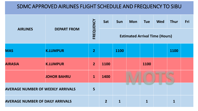## SDMC APPROVED AIRLINES FLIGHT SCHEDULE AND FREQUENCY TO SIBU

| <b>AIRLINES</b>                          |                    |                | Sat                                   | <b>Sun</b> | <b>Mon</b> | <b>Tue</b>  | <b>Wed</b> | <b>Thur</b>  | Fri |
|------------------------------------------|--------------------|----------------|---------------------------------------|------------|------------|-------------|------------|--------------|-----|
|                                          | <b>DEPART FROM</b> | FREQUENCY      | <b>Estimated Arrival Time (Hours)</b> |            |            |             |            |              |     |
| <b>MAS</b>                               | <b>K.LUMPUR</b>    | $\overline{2}$ |                                       | 1100       |            |             |            | 1100         |     |
| <b>AIRASIA</b>                           | <b>K.LUMPUR</b>    | $\overline{2}$ | 1100                                  |            |            | 1100        |            |              |     |
|                                          | <b>JOHOR BAHRU</b> | $\mathbf{1}$   | 1400                                  |            |            |             |            |              |     |
| <b>AVERAGE NUMBER OF WEEKLY ARRIVALS</b> |                    |                |                                       |            |            |             |            |              |     |
| <b>AVERAGE NUMBER OF DAILY ARRIVALS</b>  |                    |                | $\overline{2}$                        | 1          |            | $\mathbf 1$ |            | $\mathbf{1}$ |     |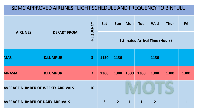## SDMC APPROVED AIRLINES FLIGHT SCHEDULE AND FREQUENCY TO BINTULU

| <b>AIRLINES</b>                          |                    |                | Sat                                   | <b>Sun</b>     | <b>Mon</b>   | <b>Tue</b>  | <b>Wed</b>     | <b>Thur</b>  | Fri  |
|------------------------------------------|--------------------|----------------|---------------------------------------|----------------|--------------|-------------|----------------|--------------|------|
|                                          | <b>DEPART FROM</b> | FREQUENCY      | <b>Estimated Arrival Time (Hours)</b> |                |              |             |                |              |      |
| <b>MAS</b>                               | <b>K.LUMPUR</b>    | $\overline{3}$ | 1130                                  | 1130           |              |             | 1130           |              |      |
| <b>AIRASIA</b>                           | <b>K.LUMPUR</b>    | 7              | 1300                                  | 1300           | 1300         | 1300        | 1300           | 1300         | 1300 |
| <b>AVERAGE NUMBER OF WEEKLY ARRIVALS</b> |                    |                |                                       |                |              |             |                |              |      |
| <b>AVERAGE NUMBER OF DAILY ARRIVALS</b>  |                    |                | $\overline{2}$                        | 2 <sup>1</sup> | $\mathbf{1}$ | $\mathbf 1$ | 2 <sup>1</sup> | $\mathbf{1}$ |      |